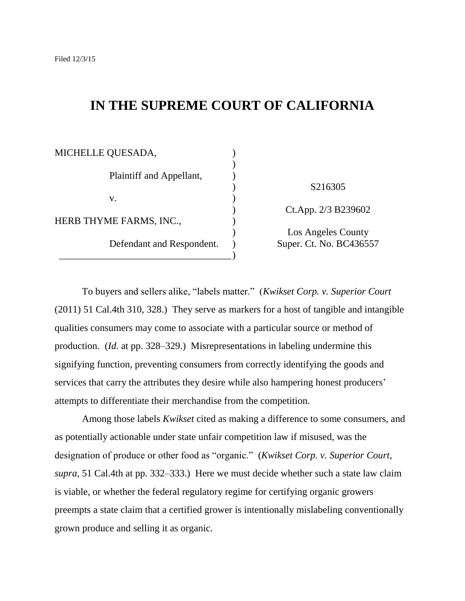# **IN THE SUPREME COURT OF CALIFORNIA**

| MICHELLE QUESADA,         |                                               |
|---------------------------|-----------------------------------------------|
| Plaintiff and Appellant,  |                                               |
| V.                        | S216305                                       |
| HERB THYME FARMS, INC.,   | Ct.App. 2/3 B239602                           |
| Defendant and Respondent. | Los Angeles County<br>Super. Ct. No. BC436557 |

To buyers and sellers alike, "labels matter." (*Kwikset Corp. v. Superior Court*) (2011) 51 Cal.4th 310, 328.) They serve as markers for a host of tangible and intangible qualities consumers may come to associate with a particular source or method of production. (*Id.* at pp. 328–329.) Misrepresentations in labeling undermine this signifying function, preventing consumers from correctly identifying the goods and services that carry the attributes they desire while also hampering honest producers' attempts to differentiate their merchandise from the competition.

Among those labels *Kwikset* cited as making a difference to some consumers, and as potentially actionable under state unfair competition law if misused, was the designation of produce or other food as "organic." (*Kwikset Corp. v. Superior Court*, *supra*, 51 Cal.4th at pp. 332–333.) Here we must decide whether such a state law claim is viable, or whether the federal regulatory regime for certifying organic growers preempts a state claim that a certified grower is intentionally mislabeling conventionally grown produce and selling it as organic.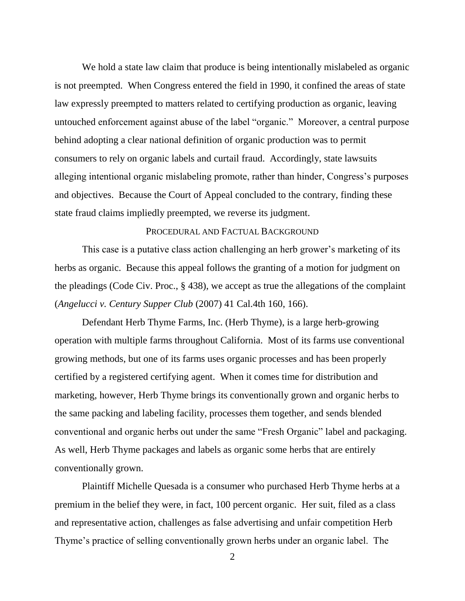We hold a state law claim that produce is being intentionally mislabeled as organic is not preempted. When Congress entered the field in 1990, it confined the areas of state law expressly preempted to matters related to certifying production as organic, leaving untouched enforcement against abuse of the label "organic." Moreover, a central purpose behind adopting a clear national definition of organic production was to permit consumers to rely on organic labels and curtail fraud. Accordingly, state lawsuits alleging intentional organic mislabeling promote, rather than hinder, Congress's purposes and objectives. Because the Court of Appeal concluded to the contrary, finding these state fraud claims impliedly preempted, we reverse its judgment.

## PROCEDURAL AND FACTUAL BACKGROUND

This case is a putative class action challenging an herb grower's marketing of its herbs as organic. Because this appeal follows the granting of a motion for judgment on the pleadings (Code Civ. Proc., § 438), we accept as true the allegations of the complaint (*Angelucci v. Century Supper Club* (2007) 41 Cal.4th 160, 166).

Defendant Herb Thyme Farms, Inc. (Herb Thyme), is a large herb-growing operation with multiple farms throughout California. Most of its farms use conventional growing methods, but one of its farms uses organic processes and has been properly certified by a registered certifying agent. When it comes time for distribution and marketing, however, Herb Thyme brings its conventionally grown and organic herbs to the same packing and labeling facility, processes them together, and sends blended conventional and organic herbs out under the same "Fresh Organic" label and packaging. As well, Herb Thyme packages and labels as organic some herbs that are entirely conventionally grown.

Plaintiff Michelle Quesada is a consumer who purchased Herb Thyme herbs at a premium in the belief they were, in fact, 100 percent organic. Her suit, filed as a class and representative action, challenges as false advertising and unfair competition Herb Thyme's practice of selling conventionally grown herbs under an organic label. The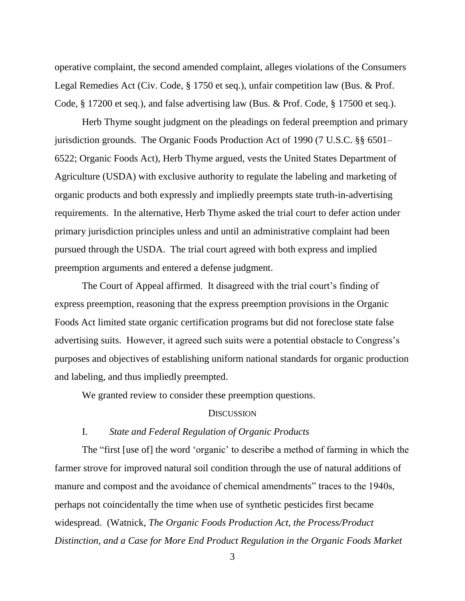operative complaint, the second amended complaint, alleges violations of the Consumers Legal Remedies Act (Civ. Code, § 1750 et seq.), unfair competition law (Bus. & Prof. Code, § 17200 et seq.), and false advertising law (Bus. & Prof. Code, § 17500 et seq.).

Herb Thyme sought judgment on the pleadings on federal preemption and primary jurisdiction grounds. The Organic Foods Production Act of 1990 (7 U.S.C. §§ 6501– 6522; Organic Foods Act), Herb Thyme argued, vests the United States Department of Agriculture (USDA) with exclusive authority to regulate the labeling and marketing of organic products and both expressly and impliedly preempts state truth-in-advertising requirements. In the alternative, Herb Thyme asked the trial court to defer action under primary jurisdiction principles unless and until an administrative complaint had been pursued through the USDA. The trial court agreed with both express and implied preemption arguments and entered a defense judgment.

The Court of Appeal affirmed. It disagreed with the trial court's finding of express preemption, reasoning that the express preemption provisions in the Organic Foods Act limited state organic certification programs but did not foreclose state false advertising suits. However, it agreed such suits were a potential obstacle to Congress's purposes and objectives of establishing uniform national standards for organic production and labeling, and thus impliedly preempted.

We granted review to consider these preemption questions.

## **DISCUSSION**

## I. *State and Federal Regulation of Organic Products*

The "first [use of] the word 'organic' to describe a method of farming in which the farmer strove for improved natural soil condition through the use of natural additions of manure and compost and the avoidance of chemical amendments" traces to the 1940s, perhaps not coincidentally the time when use of synthetic pesticides first became widespread. (Watnick, *The Organic Foods Production Act, the Process/Product Distinction, and a Case for More End Product Regulation in the Organic Foods Market*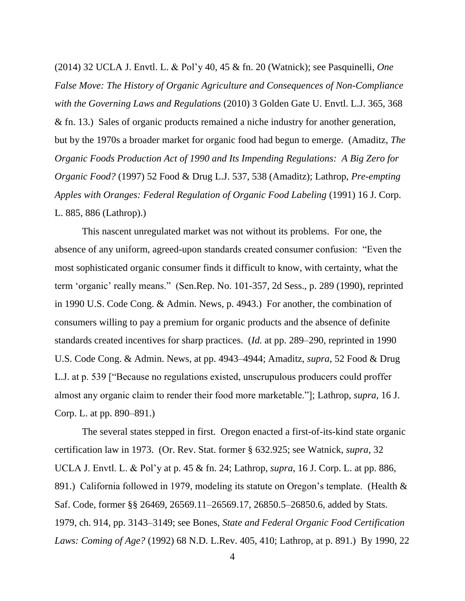(2014) 32 UCLA J. Envtl. L. & Pol'y 40, 45 & fn. 20 (Watnick); see Pasquinelli, *One False Move: The History of Organic Agriculture and Consequences of Non-Compliance with the Governing Laws and Regulations* (2010) 3 Golden Gate U. Envtl. L.J. 365, 368 & fn. 13.) Sales of organic products remained a niche industry for another generation, but by the 1970s a broader market for organic food had begun to emerge. (Amaditz, *The Organic Foods Production Act of 1990 and Its Impending Regulations: A Big Zero for Organic Food?* (1997) 52 Food & Drug L.J. 537, 538 (Amaditz); Lathrop, *Pre-empting Apples with Oranges: Federal Regulation of Organic Food Labeling* (1991) 16 J. Corp. L. 885, 886 (Lathrop).)

This nascent unregulated market was not without its problems. For one, the absence of any uniform, agreed-upon standards created consumer confusion: "Even the most sophisticated organic consumer finds it difficult to know, with certainty, what the term 'organic' really means." (Sen.Rep. No. 101-357, 2d Sess., p. 289 (1990), reprinted in 1990 U.S. Code Cong. & Admin. News, p. 4943.) For another, the combination of consumers willing to pay a premium for organic products and the absence of definite standards created incentives for sharp practices. (*Id.* at pp. 289–290, reprinted in 1990 U.S. Code Cong. & Admin. News, at pp. 4943–4944; Amaditz, *supra*, 52 Food & Drug L.J. at p. 539 ["Because no regulations existed, unscrupulous producers could proffer almost any organic claim to render their food more marketable.‖]; Lathrop, *supra*, 16 J. Corp. L. at pp. 890–891.)

The several states stepped in first. Oregon enacted a first-of-its-kind state organic certification law in 1973. (Or. Rev. Stat. former § 632.925; see Watnick, *supra*, 32 UCLA J. Envtl. L. & Pol'y at p. 45 & fn. 24; Lathrop, *supra*, 16 J. Corp. L. at pp. 886, 891.) California followed in 1979, modeling its statute on Oregon's template. (Health & Saf. Code, former §§ 26469, 26569.11–26569.17, 26850.5–26850.6, added by Stats. 1979, ch. 914, pp. 3143–3149; see Bones, *State and Federal Organic Food Certification Laws: Coming of Age?* (1992) 68 N.D. L.Rev. 405, 410; Lathrop, at p. 891.) By 1990, 22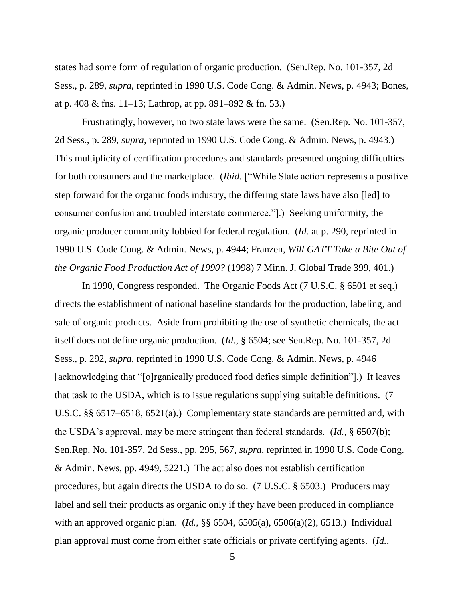states had some form of regulation of organic production. (Sen.Rep. No. 101-357, 2d Sess., p. 289, *supra*, reprinted in 1990 U.S. Code Cong. & Admin. News, p. 4943; Bones, at p. 408 & fns. 11–13; Lathrop, at pp. 891–892 & fn. 53.)

Frustratingly, however, no two state laws were the same. (Sen.Rep. No. 101-357, 2d Sess., p. 289, *supra*, reprinted in 1990 U.S. Code Cong. & Admin. News, p. 4943.) This multiplicity of certification procedures and standards presented ongoing difficulties for both consumers and the marketplace. (*Ibid.* ["While State action represents a positive step forward for the organic foods industry, the differing state laws have also [led] to consumer confusion and troubled interstate commerce.‖].) Seeking uniformity, the organic producer community lobbied for federal regulation. (*Id.* at p. 290, reprinted in 1990 U.S. Code Cong. & Admin. News, p. 4944; Franzen, *Will GATT Take a Bite Out of the Organic Food Production Act of 1990?* (1998) 7 Minn. J. Global Trade 399, 401.)

In 1990, Congress responded. The Organic Foods Act (7 U.S.C. § 6501 et seq.) directs the establishment of national baseline standards for the production, labeling, and sale of organic products. Aside from prohibiting the use of synthetic chemicals, the act itself does not define organic production. (*Id.*, § 6504; see Sen.Rep. No. 101-357, 2d Sess., p. 292, *supra*, reprinted in 1990 U.S. Code Cong. & Admin. News, p. 4946 [acknowledging that "[o]rganically produced food defies simple definition"].) It leaves that task to the USDA, which is to issue regulations supplying suitable definitions. (7 U.S.C. §§ 6517–6518, 6521(a).) Complementary state standards are permitted and, with the USDA's approval, may be more stringent than federal standards. (*Id.*, § 6507(b); Sen.Rep. No. 101-357, 2d Sess., pp. 295, 567, *supra*, reprinted in 1990 U.S. Code Cong. & Admin. News, pp. 4949, 5221.) The act also does not establish certification procedures, but again directs the USDA to do so. (7 U.S.C. § 6503.) Producers may label and sell their products as organic only if they have been produced in compliance with an approved organic plan. (*Id.*, §§ 6504, 6505(a), 6506(a)(2), 6513.) Individual plan approval must come from either state officials or private certifying agents. (*Id.*,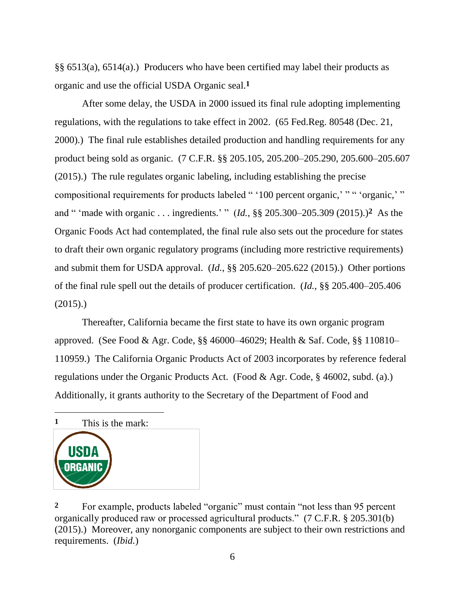§§ 6513(a), 6514(a).) Producers who have been certified may label their products as organic and use the official USDA Organic seal.**1**

After some delay, the USDA in 2000 issued its final rule adopting implementing regulations, with the regulations to take effect in 2002. (65 Fed.Reg. 80548 (Dec. 21, 2000).) The final rule establishes detailed production and handling requirements for any product being sold as organic. (7 C.F.R. §§ 205.105, 205.200–205.290, 205.600–205.607 (2015).) The rule regulates organic labeling, including establishing the precise compositional requirements for products labeled " '100 percent organic,' " " 'organic,' " and " 'made with organic . . . ingredients.' "  $(Id, \S \S 205.300-205.309 (2015).)^2$  As the Organic Foods Act had contemplated, the final rule also sets out the procedure for states to draft their own organic regulatory programs (including more restrictive requirements) and submit them for USDA approval. (*Id.*, §§ 205.620–205.622 (2015).) Other portions of the final rule spell out the details of producer certification. (*Id.*, §§ 205.400–205.406  $(2015).$ 

Thereafter, California became the first state to have its own organic program approved. (See Food & Agr. Code, §§ 46000–46029; Health & Saf. Code, §§ 110810– 110959.) The California Organic Products Act of 2003 incorporates by reference federal regulations under the Organic Products Act. (Food & Agr. Code, § 46002, subd. (a).) Additionally, it grants authority to the Secretary of the Department of Food and

**1** This is the mark:

 $\overline{a}$ 



<sup>&</sup>lt;sup>2</sup> For example, products labeled "organic" must contain "not less than 95 percent organically produced raw or processed agricultural products.‖ (7 C.F.R. § 205.301(b) (2015).) Moreover, any nonorganic components are subject to their own restrictions and requirements. (*Ibid.*)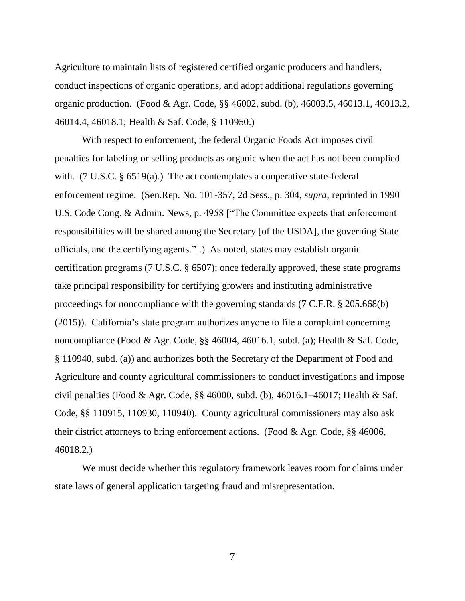Agriculture to maintain lists of registered certified organic producers and handlers, conduct inspections of organic operations, and adopt additional regulations governing organic production. (Food & Agr. Code, §§ 46002, subd. (b), 46003.5, 46013.1, 46013.2, 46014.4, 46018.1; Health & Saf. Code, § 110950.)

With respect to enforcement, the federal Organic Foods Act imposes civil penalties for labeling or selling products as organic when the act has not been complied with. (7 U.S.C. § 6519(a).) The act contemplates a cooperative state-federal enforcement regime. (Sen.Rep. No. 101-357, 2d Sess., p. 304, *supra*, reprinted in 1990 U.S. Code Cong. & Admin. News, p. 4958 ["The Committee expects that enforcement responsibilities will be shared among the Secretary [of the USDA], the governing State officials, and the certifying agents.‖].) As noted, states may establish organic certification programs (7 U.S.C. § 6507); once federally approved, these state programs take principal responsibility for certifying growers and instituting administrative proceedings for noncompliance with the governing standards (7 C.F.R. § 205.668(b) (2015)). California's state program authorizes anyone to file a complaint concerning noncompliance (Food & Agr. Code, §§ 46004, 46016.1, subd. (a); Health & Saf. Code, § 110940, subd. (a)) and authorizes both the Secretary of the Department of Food and Agriculture and county agricultural commissioners to conduct investigations and impose civil penalties (Food & Agr. Code, §§ 46000, subd. (b), 46016.1–46017; Health & Saf. Code, §§ 110915, 110930, 110940). County agricultural commissioners may also ask their district attorneys to bring enforcement actions. (Food & Agr. Code, §§ 46006, 46018.2.)

We must decide whether this regulatory framework leaves room for claims under state laws of general application targeting fraud and misrepresentation.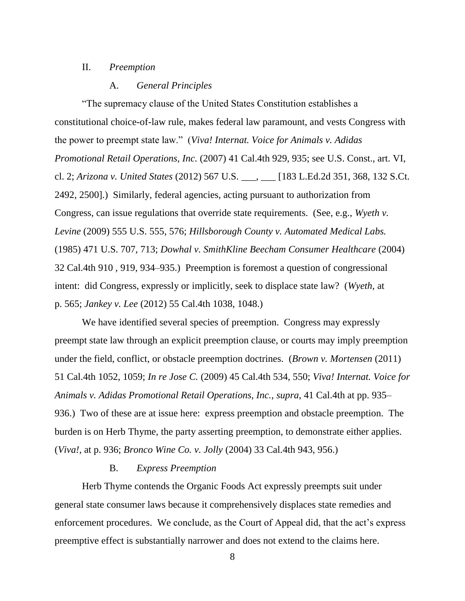## II. *Preemption*

## A. *General Principles*

―The supremacy clause of the United States Constitution establishes a constitutional choice-of-law rule, makes federal law paramount, and vests Congress with the power to preempt state law.‖ (*Viva! Internat. Voice for Animals v. Adidas Promotional Retail Operations, Inc.* (2007) 41 Cal.4th 929, 935; see U.S. Const., art. VI, cl. 2; *Arizona v. United States* (2012) 567 U.S. \_\_\_, \_\_\_ [183 L.Ed.2d 351, 368, 132 S.Ct. 2492, 2500].) Similarly, federal agencies, acting pursuant to authorization from Congress, can issue regulations that override state requirements. (See, e.g., *Wyeth v. Levine* (2009) 555 U.S. 555, 576; *Hillsborough County v. Automated Medical Labs.* (1985) 471 U.S. 707, 713; *Dowhal v. SmithKline Beecham Consumer Healthcare* (2004) 32 Cal.4th 910 , 919, 934–935.) Preemption is foremost a question of congressional intent: did Congress, expressly or implicitly, seek to displace state law? (*Wyeth*, at p. 565; *Jankey v. Lee* (2012) 55 Cal.4th 1038, 1048.)

We have identified several species of preemption. Congress may expressly preempt state law through an explicit preemption clause, or courts may imply preemption under the field, conflict, or obstacle preemption doctrines. (*Brown v. Mortensen* (2011) 51 Cal.4th 1052, 1059; *In re Jose C.* (2009) 45 Cal.4th 534, 550; *Viva! Internat. Voice for Animals v. Adidas Promotional Retail Operations, Inc.*, *supra*, 41 Cal.4th at pp. 935– 936.) Two of these are at issue here: express preemption and obstacle preemption. The burden is on Herb Thyme, the party asserting preemption, to demonstrate either applies. (*Viva!*, at p. 936; *Bronco Wine Co. v. Jolly* (2004) 33 Cal.4th 943, 956.)

## B. *Express Preemption*

Herb Thyme contends the Organic Foods Act expressly preempts suit under general state consumer laws because it comprehensively displaces state remedies and enforcement procedures. We conclude, as the Court of Appeal did, that the act's express preemptive effect is substantially narrower and does not extend to the claims here.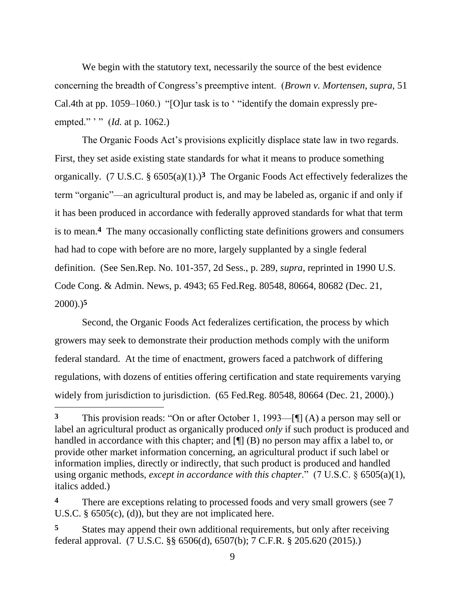We begin with the statutory text, necessarily the source of the best evidence concerning the breadth of Congress's preemptive intent. (*Brown v. Mortensen*, *supra*, 51 Cal.4th at pp. 1059–1060.) "[O]ur task is to ' "identify the domain expressly preempted." '" (*Id.* at p. 1062.)

The Organic Foods Act's provisions explicitly displace state law in two regards. First, they set aside existing state standards for what it means to produce something organically. (7 U.S.C. § 6505(a)(1).)**3** The Organic Foods Act effectively federalizes the term "organic"—an agricultural product is, and may be labeled as, organic if and only if it has been produced in accordance with federally approved standards for what that term is to mean.**4** The many occasionally conflicting state definitions growers and consumers had had to cope with before are no more, largely supplanted by a single federal definition. (See Sen.Rep. No. 101-357, 2d Sess., p. 289, *supra*, reprinted in 1990 U.S. Code Cong. & Admin. News, p. 4943; 65 Fed.Reg. 80548, 80664, 80682 (Dec. 21, 2000).)**5**

Second, the Organic Foods Act federalizes certification, the process by which growers may seek to demonstrate their production methods comply with the uniform federal standard. At the time of enactment, growers faced a patchwork of differing regulations, with dozens of entities offering certification and state requirements varying widely from jurisdiction to jurisdiction. (65 Fed.Reg. 80548, 80664 (Dec. 21, 2000).)

**<sup>3</sup>** This provision reads: "On or after October 1, 1993—[¶] (A) a person may sell or label an agricultural product as organically produced *only* if such product is produced and handled in accordance with this chapter; and [¶] (B) no person may affix a label to, or provide other market information concerning, an agricultural product if such label or information implies, directly or indirectly, that such product is produced and handled using organic methods, *except in accordance with this chapter*." (7 U.S.C. § 6505(a)(1), italics added.)

There are exceptions relating to processed foods and very small growers (see 7) U.S.C.  $\S$  6505(c), (d)), but they are not implicated here.

**<sup>5</sup>** States may append their own additional requirements, but only after receiving federal approval. (7 U.S.C. §§ 6506(d), 6507(b); 7 C.F.R. § 205.620 (2015).)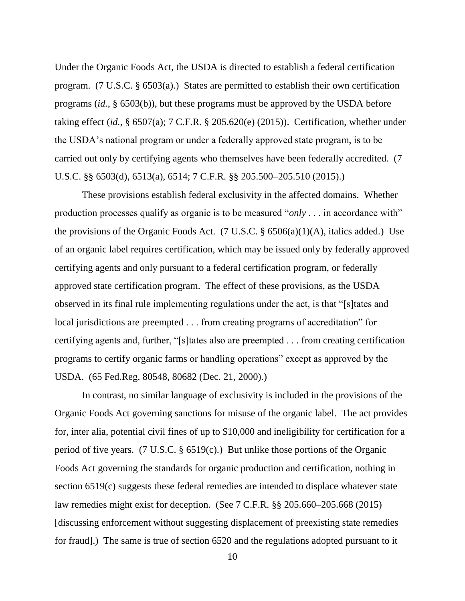Under the Organic Foods Act, the USDA is directed to establish a federal certification program. (7 U.S.C. § 6503(a).) States are permitted to establish their own certification programs (*id.*, § 6503(b)), but these programs must be approved by the USDA before taking effect (*id.*, § 6507(a); 7 C.F.R. § 205.620(e) (2015)). Certification, whether under the USDA's national program or under a federally approved state program, is to be carried out only by certifying agents who themselves have been federally accredited. (7 U.S.C. §§ 6503(d), 6513(a), 6514; 7 C.F.R. §§ 205.500–205.510 (2015).)

These provisions establish federal exclusivity in the affected domains. Whether production processes qualify as organic is to be measured " $only \dots$  in accordance with" the provisions of the Organic Foods Act. (7 U.S.C.  $\S$  6506(a)(1)(A), italics added.) Use of an organic label requires certification, which may be issued only by federally approved certifying agents and only pursuant to a federal certification program, or federally approved state certification program. The effect of these provisions, as the USDA observed in its final rule implementing regulations under the act, is that "[s] tates and local jurisdictions are preempted . . . from creating programs of accreditation" for certifying agents and, further, "[s]tates also are preempted . . . from creating certification programs to certify organic farms or handling operations" except as approved by the USDA. (65 Fed.Reg. 80548, 80682 (Dec. 21, 2000).)

In contrast, no similar language of exclusivity is included in the provisions of the Organic Foods Act governing sanctions for misuse of the organic label. The act provides for, inter alia, potential civil fines of up to \$10,000 and ineligibility for certification for a period of five years. (7 U.S.C. § 6519(c).) But unlike those portions of the Organic Foods Act governing the standards for organic production and certification, nothing in section 6519(c) suggests these federal remedies are intended to displace whatever state law remedies might exist for deception. (See 7 C.F.R. §§ 205.660–205.668 (2015) [discussing enforcement without suggesting displacement of preexisting state remedies for fraud].) The same is true of section 6520 and the regulations adopted pursuant to it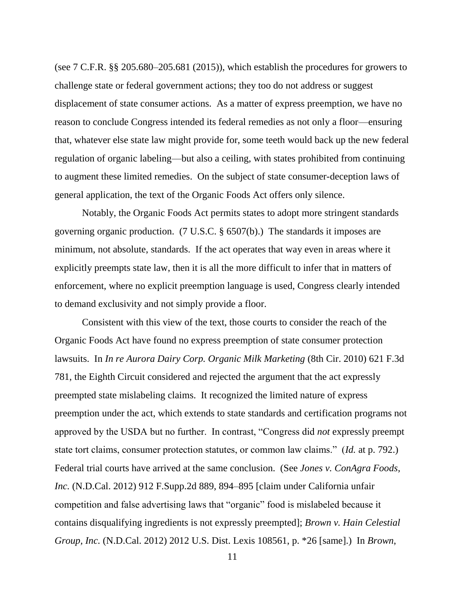(see 7 C.F.R. §§ 205.680–205.681 (2015)), which establish the procedures for growers to challenge state or federal government actions; they too do not address or suggest displacement of state consumer actions. As a matter of express preemption, we have no reason to conclude Congress intended its federal remedies as not only a floor—ensuring that, whatever else state law might provide for, some teeth would back up the new federal regulation of organic labeling—but also a ceiling, with states prohibited from continuing to augment these limited remedies. On the subject of state consumer-deception laws of general application, the text of the Organic Foods Act offers only silence.

Notably, the Organic Foods Act permits states to adopt more stringent standards governing organic production. (7 U.S.C. § 6507(b).) The standards it imposes are minimum, not absolute, standards. If the act operates that way even in areas where it explicitly preempts state law, then it is all the more difficult to infer that in matters of enforcement, where no explicit preemption language is used, Congress clearly intended to demand exclusivity and not simply provide a floor.

Consistent with this view of the text, those courts to consider the reach of the Organic Foods Act have found no express preemption of state consumer protection lawsuits. In *In re Aurora Dairy Corp. Organic Milk Marketing* (8th Cir. 2010) 621 F.3d 781, the Eighth Circuit considered and rejected the argument that the act expressly preempted state mislabeling claims. It recognized the limited nature of express preemption under the act, which extends to state standards and certification programs not approved by the USDA but no further. In contrast, "Congress did *not* expressly preempt state tort claims, consumer protection statutes, or common law claims." (*Id.* at p. 792.) Federal trial courts have arrived at the same conclusion. (See *Jones v. ConAgra Foods, Inc.* (N.D.Cal. 2012) 912 F.Supp.2d 889, 894–895 [claim under California unfair competition and false advertising laws that "organic" food is mislabeled because it contains disqualifying ingredients is not expressly preempted]; *Brown v. Hain Celestial Group, Inc.* (N.D.Cal. 2012) 2012 U.S. Dist. Lexis 108561, p. \*26 [same].) In *Brown*,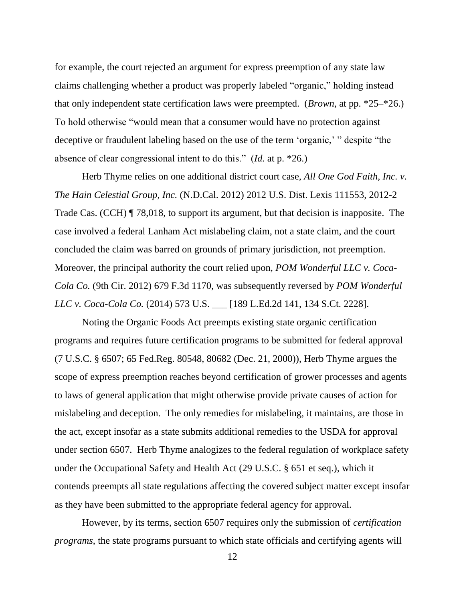for example, the court rejected an argument for express preemption of any state law claims challenging whether a product was properly labeled "organic," holding instead that only independent state certification laws were preempted. (*Brown*, at pp. \*25–\*26.) To hold otherwise "would mean that a consumer would have no protection against deceptive or fraudulent labeling based on the use of the term 'organic,' " despite "the absence of clear congressional intent to do this." (*Id.* at p. \*26.)

Herb Thyme relies on one additional district court case, *All One God Faith, Inc. v. The Hain Celestial Group, Inc.* (N.D.Cal. 2012) 2012 U.S. Dist. Lexis 111553, 2012-2 Trade Cas. (CCH) ¶ 78,018, to support its argument, but that decision is inapposite. The case involved a federal Lanham Act mislabeling claim, not a state claim, and the court concluded the claim was barred on grounds of primary jurisdiction, not preemption. Moreover, the principal authority the court relied upon, *POM Wonderful LLC v. Coca-Cola Co.* (9th Cir. 2012) 679 F.3d 1170, was subsequently reversed by *POM Wonderful LLC v. Coca-Cola Co.* (2014) 573 U.S. \_\_\_ [189 L.Ed.2d 141, 134 S.Ct. 2228].

Noting the Organic Foods Act preempts existing state organic certification programs and requires future certification programs to be submitted for federal approval (7 U.S.C. § 6507; 65 Fed.Reg. 80548, 80682 (Dec. 21, 2000)), Herb Thyme argues the scope of express preemption reaches beyond certification of grower processes and agents to laws of general application that might otherwise provide private causes of action for mislabeling and deception. The only remedies for mislabeling, it maintains, are those in the act, except insofar as a state submits additional remedies to the USDA for approval under section 6507. Herb Thyme analogizes to the federal regulation of workplace safety under the Occupational Safety and Health Act (29 U.S.C. § 651 et seq.), which it contends preempts all state regulations affecting the covered subject matter except insofar as they have been submitted to the appropriate federal agency for approval.

However, by its terms, section 6507 requires only the submission of *certification programs*, the state programs pursuant to which state officials and certifying agents will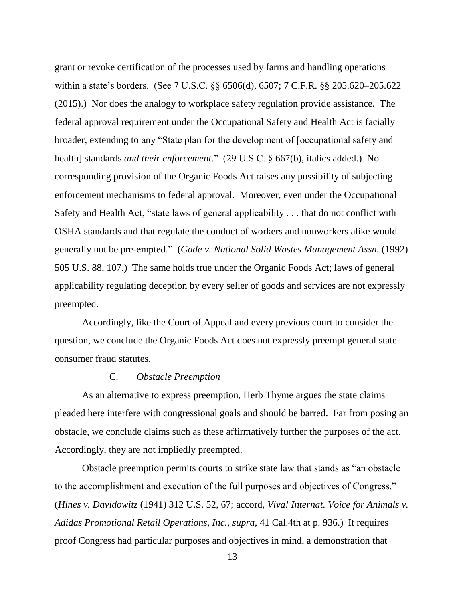grant or revoke certification of the processes used by farms and handling operations within a state's borders. (See 7 U.S.C. §§ 6506(d), 6507; 7 C.F.R. §§ 205.620–205.622 (2015).) Nor does the analogy to workplace safety regulation provide assistance. The federal approval requirement under the Occupational Safety and Health Act is facially broader, extending to any "State plan for the development of [occupational safety and health] standards *and their enforcement*." (29 U.S.C. § 667(b), italics added.) No corresponding provision of the Organic Foods Act raises any possibility of subjecting enforcement mechanisms to federal approval. Moreover, even under the Occupational Safety and Health Act, "state laws of general applicability  $\ldots$  that do not conflict with OSHA standards and that regulate the conduct of workers and nonworkers alike would generally not be pre-empted.‖ (*Gade v. National Solid Wastes Management Assn.* (1992) 505 U.S. 88, 107.) The same holds true under the Organic Foods Act; laws of general applicability regulating deception by every seller of goods and services are not expressly preempted.

Accordingly, like the Court of Appeal and every previous court to consider the question, we conclude the Organic Foods Act does not expressly preempt general state consumer fraud statutes.

## C. *Obstacle Preemption*

As an alternative to express preemption, Herb Thyme argues the state claims pleaded here interfere with congressional goals and should be barred. Far from posing an obstacle, we conclude claims such as these affirmatively further the purposes of the act. Accordingly, they are not impliedly preempted.

Obstacle preemption permits courts to strike state law that stands as "an obstacle to the accomplishment and execution of the full purposes and objectives of Congress." (*Hines v. Davidowitz* (1941) 312 U.S. 52, 67; accord, *Viva! Internat. Voice for Animals v. Adidas Promotional Retail Operations, Inc.*, *supra*, 41 Cal.4th at p. 936.) It requires proof Congress had particular purposes and objectives in mind, a demonstration that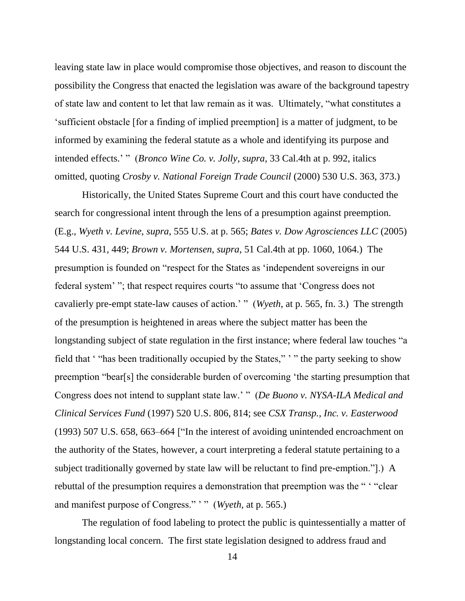leaving state law in place would compromise those objectives, and reason to discount the possibility the Congress that enacted the legislation was aware of the background tapestry of state law and content to let that law remain as it was. Ultimately, "what constitutes a ‗sufficient obstacle [for a finding of implied preemption] is a matter of judgment, to be informed by examining the federal statute as a whole and identifying its purpose and intended effects.' " (*Bronco Wine Co. v. Jolly, supra,* 33 Cal.4th at p. 992, italics omitted, quoting *Crosby v. National Foreign Trade Council* (2000) 530 U.S. 363, 373.)

Historically, the United States Supreme Court and this court have conducted the search for congressional intent through the lens of a presumption against preemption. (E.g., *Wyeth v. Levine*, *supra*, 555 U.S. at p. 565; *Bates v. Dow Agrosciences LLC* (2005) 544 U.S. 431, 449; *Brown v. Mortensen*, *supra*, 51 Cal.4th at pp. 1060, 1064.) The presumption is founded on "respect for the States as 'independent sovereigns in our federal system' "; that respect requires courts "to assume that 'Congress does not cavalierly pre-empt state-law causes of action.' " (*Wyeth*, at p. 565, fn. 3.) The strength of the presumption is heightened in areas where the subject matter has been the longstanding subject of state regulation in the first instance; where federal law touches "a field that "also been traditionally occupied by the States," '" the party seeking to show preemption "bear[s] the considerable burden of overcoming 'the starting presumption that Congress does not intend to supplant state law.' " (*De Buono v. NYSA-ILA Medical and Clinical Services Fund* (1997) 520 U.S. 806, 814; see *CSX Transp., Inc. v. Easterwood*  $(1993)$  507 U.S. 658, 663–664 ["In the interest of avoiding unintended encroachment on the authority of the States, however, a court interpreting a federal statute pertaining to a subject traditionally governed by state law will be reluctant to find pre-emption."...) A rebuttal of the presumption requires a demonstration that preemption was the " "clear and manifest purpose of Congress." '" (*Wyeth*, at p. 565.)

The regulation of food labeling to protect the public is quintessentially a matter of longstanding local concern. The first state legislation designed to address fraud and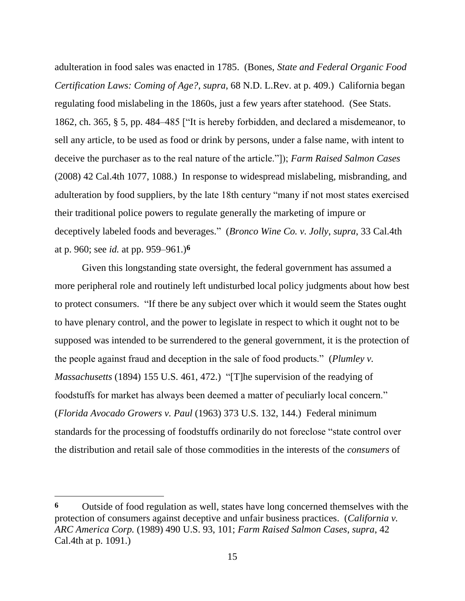adulteration in food sales was enacted in 1785. (Bones, *State and Federal Organic Food Certification Laws: Coming of Age?*, *supra*, 68 N.D. L.Rev. at p. 409.) California began regulating food mislabeling in the 1860s, just a few years after statehood. (See Stats. 1862, ch. 365,  $\S$  5, pp. 484–485 ["It is hereby forbidden, and declared a misdemeanor, to sell any article, to be used as food or drink by persons, under a false name, with intent to deceive the purchaser as to the real nature of the article.‖]); *Farm Raised Salmon Cases* (2008) 42 Cal.4th 1077, 1088.) In response to widespread mislabeling, misbranding, and adulteration by food suppliers, by the late 18th century "many if not most states exercised their traditional police powers to regulate generally the marketing of impure or deceptively labeled foods and beverages.‖ (*Bronco Wine Co. v. Jolly*, *supra*, 33 Cal.4th at p. 960; see *id.* at pp. 959–961.)**6**

Given this longstanding state oversight, the federal government has assumed a more peripheral role and routinely left undisturbed local policy judgments about how best to protect consumers. "If there be any subject over which it would seem the States ought to have plenary control, and the power to legislate in respect to which it ought not to be supposed was intended to be surrendered to the general government, it is the protection of the people against fraud and deception in the sale of food products." (*Plumley v. Massachusetts* (1894) 155 U.S. 461, 472.) "[T]he supervision of the readying of foodstuffs for market has always been deemed a matter of peculiarly local concern." (*Florida Avocado Growers v. Paul* (1963) 373 U.S. 132, 144.) Federal minimum standards for the processing of foodstuffs ordinarily do not foreclose "state control over the distribution and retail sale of those commodities in the interests of the *consumers* of

**<sup>6</sup>** Outside of food regulation as well, states have long concerned themselves with the protection of consumers against deceptive and unfair business practices. (*California v. ARC America Corp.* (1989) 490 U.S. 93, 101; *Farm Raised Salmon Cases*, *supra*, 42 Cal.4th at p. 1091.)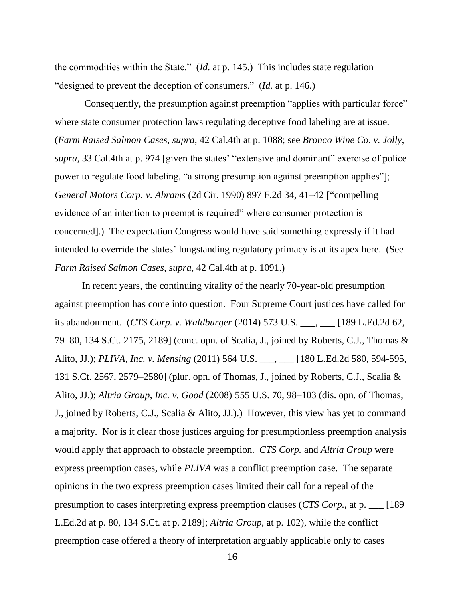the commodities within the State." (*Id.* at p. 145.) This includes state regulation "designed to prevent the deception of consumers." (*Id.* at p. 146.)

Consequently, the presumption against preemption "applies with particular force" where state consumer protection laws regulating deceptive food labeling are at issue. (*Farm Raised Salmon Cases*, *supra*, 42 Cal.4th at p. 1088; see *Bronco Wine Co. v. Jolly*, *supra*, 33 Cal.4th at p. 974 [given the states' "extensive and dominant" exercise of police power to regulate food labeling, "a strong presumption against preemption applies"]; *General Motors Corp. v. Abrams* (2d Cir. 1990) 897 F.2d 34, 41–42 ["compelling evidence of an intention to preempt is required" where consumer protection is concerned].) The expectation Congress would have said something expressly if it had intended to override the states' longstanding regulatory primacy is at its apex here. (See *Farm Raised Salmon Cases, supra,* 42 Cal.4th at p. 1091.)

In recent years, the continuing vitality of the nearly 70-year-old presumption against preemption has come into question. Four Supreme Court justices have called for its abandonment. (*CTS Corp. v. Waldburger* (2014) 573 U.S. \_\_\_, \_\_\_ [189 L.Ed.2d 62, 79–80, 134 S.Ct. 2175, 2189] (conc. opn. of Scalia, J., joined by Roberts, C.J., Thomas & Alito, JJ.); *PLIVA, Inc. v. Mensing* (2011) 564 U.S. \_\_\_, \_\_\_ [180 L.Ed.2d 580, 594-595, 131 S.Ct. 2567, 2579–2580] (plur. opn. of Thomas, J., joined by Roberts, C.J., Scalia & Alito, JJ.); *Altria Group, Inc. v. Good* (2008) 555 U.S. 70, 98–103 (dis. opn. of Thomas, J., joined by Roberts, C.J., Scalia & Alito, JJ.).) However, this view has yet to command a majority. Nor is it clear those justices arguing for presumptionless preemption analysis would apply that approach to obstacle preemption. *CTS Corp.* and *Altria Group* were express preemption cases, while *PLIVA* was a conflict preemption case. The separate opinions in the two express preemption cases limited their call for a repeal of the presumption to cases interpreting express preemption clauses (*CTS Corp.*, at p. \_\_\_ [189 L.Ed.2d at p. 80, 134 S.Ct. at p. 2189]; *Altria Group*, at p. 102), while the conflict preemption case offered a theory of interpretation arguably applicable only to cases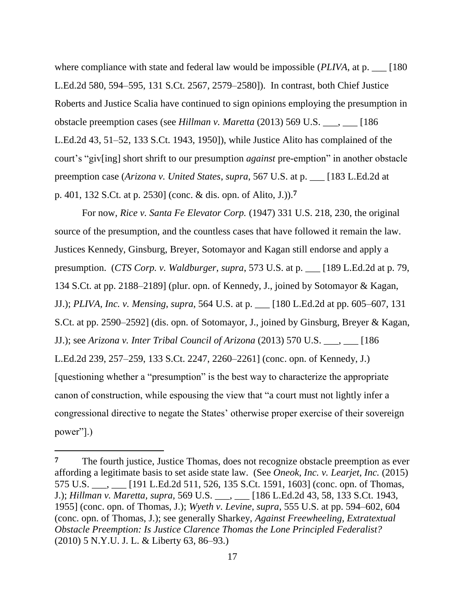where compliance with state and federal law would be impossible *(PLIVA*, at p.  $\qquad$  [180] L.Ed.2d 580, 594–595, 131 S.Ct. 2567, 2579–2580]). In contrast, both Chief Justice Roberts and Justice Scalia have continued to sign opinions employing the presumption in obstacle preemption cases (see *Hillman v. Maretta* (2013) 569 U.S. \_\_\_, \_\_\_ [186 L.Ed.2d 43, 51–52, 133 S.Ct. 1943, 1950]), while Justice Alito has complained of the court's "giv[ing] short shrift to our presumption *against* pre-emption" in another obstacle preemption case (*Arizona v. United States*, *supra*, 567 U.S. at p. \_\_\_ [183 L.Ed.2d at p. 401, 132 S.Ct. at p. 2530] (conc. & dis. opn. of Alito, J.)).**7**

For now, *Rice v. Santa Fe Elevator Corp.* (1947) 331 U.S. 218, 230, the original source of the presumption, and the countless cases that have followed it remain the law. Justices Kennedy, Ginsburg, Breyer, Sotomayor and Kagan still endorse and apply a presumption. (*CTS Corp. v. Waldburger*, *supra*, 573 U.S. at p. \_\_\_ [189 L.Ed.2d at p. 79, 134 S.Ct. at pp. 2188–2189] (plur. opn. of Kennedy, J., joined by Sotomayor & Kagan, JJ.); *PLIVA, Inc. v. Mensing*, *supra*, 564 U.S. at p. \_\_\_ [180 L.Ed.2d at pp. 605–607, 131 S.Ct. at pp. 2590–2592] (dis. opn. of Sotomayor, J., joined by Ginsburg, Breyer & Kagan, JJ.); see *Arizona v. Inter Tribal Council of Arizona* (2013) 570 U.S. \_\_\_, \_\_\_ [186 L.Ed.2d 239, 257–259, 133 S.Ct. 2247, 2260–2261] (conc. opn. of Kennedy, J.) [questioning whether a "presumption" is the best way to characterize the appropriate canon of construction, while espousing the view that "a court must not lightly infer a congressional directive to negate the States' otherwise proper exercise of their sovereign power"].)

 $\overline{a}$ 

**<sup>7</sup>** The fourth justice, Justice Thomas, does not recognize obstacle preemption as ever affording a legitimate basis to set aside state law. (See *Oneok, Inc. v. Learjet, Inc.* (2015) 575 U.S. \_\_\_, \_\_\_ [191 L.Ed.2d 511, 526, 135 S.Ct. 1591, 1603] (conc. opn. of Thomas, J.); *Hillman v. Maretta, supra,* 569 U.S. \_\_\_, \_\_\_ [186 L.Ed.2d 43, 58, 133 S.Ct. 1943, 1955] (conc. opn. of Thomas, J.); *Wyeth v. Levine*, *supra*, 555 U.S. at pp. 594–602, 604 (conc. opn. of Thomas, J.); see generally Sharkey, *Against Freewheeling, Extratextual Obstacle Preemption: Is Justice Clarence Thomas the Lone Principled Federalist?* (2010) 5 N.Y.U. J. L. & Liberty 63, 86–93.)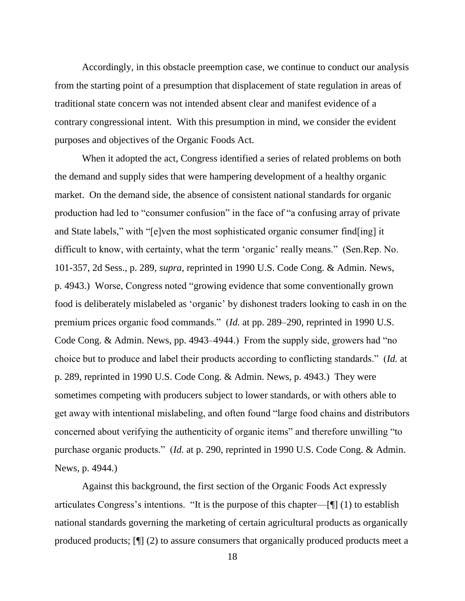Accordingly, in this obstacle preemption case, we continue to conduct our analysis from the starting point of a presumption that displacement of state regulation in areas of traditional state concern was not intended absent clear and manifest evidence of a contrary congressional intent. With this presumption in mind, we consider the evident purposes and objectives of the Organic Foods Act.

When it adopted the act, Congress identified a series of related problems on both the demand and supply sides that were hampering development of a healthy organic market. On the demand side, the absence of consistent national standards for organic production had led to "consumer confusion" in the face of "a confusing array of private and State labels," with "[e]ven the most sophisticated organic consumer find[ing] it difficult to know, with certainty, what the term 'organic' really means." (Sen.Rep. No. 101-357, 2d Sess., p. 289, *supra*, reprinted in 1990 U.S. Code Cong. & Admin. News, p. 4943.) Worse, Congress noted "growing evidence that some conventionally grown food is deliberately mislabeled as 'organic' by dishonest traders looking to cash in on the premium prices organic food commands." (*Id.* at pp. 289–290, reprinted in 1990 U.S. Code Cong. & Admin. News, pp. 4943–4944.) From the supply side, growers had "no choice but to produce and label their products according to conflicting standards.‖ (*Id.* at p. 289, reprinted in 1990 U.S. Code Cong. & Admin. News, p. 4943.) They were sometimes competing with producers subject to lower standards, or with others able to get away with intentional mislabeling, and often found "large food chains and distributors" concerned about verifying the authenticity of organic items" and therefore unwilling "to purchase organic products." (*Id.* at p. 290, reprinted in 1990 U.S. Code Cong. & Admin. News, p. 4944.)

Against this background, the first section of the Organic Foods Act expressly articulates Congress's intentions. "It is the purpose of this chapter— $[\n\mathcal{P}]$  (1) to establish national standards governing the marketing of certain agricultural products as organically produced products; [¶] (2) to assure consumers that organically produced products meet a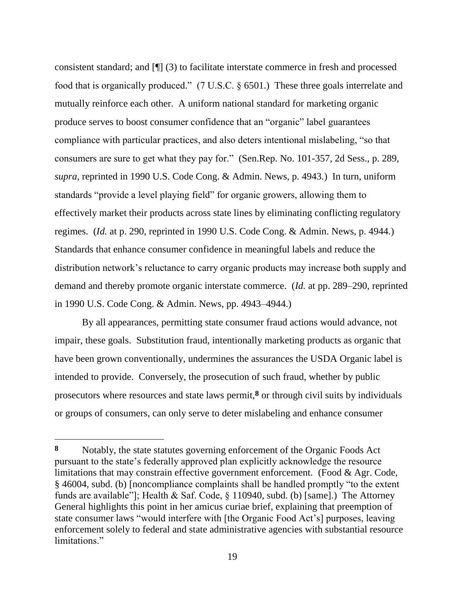consistent standard; and [¶] (3) to facilitate interstate commerce in fresh and processed food that is organically produced."  $(7 \text{ U.S.C. } § 6501.)$  These three goals interrelate and mutually reinforce each other. A uniform national standard for marketing organic produce serves to boost consumer confidence that an "organic" label guarantees compliance with particular practices, and also deters intentional mislabeling, "so that consumers are sure to get what they pay for." (Sen.Rep. No. 101-357, 2d Sess., p. 289, *supra*, reprinted in 1990 U.S. Code Cong. & Admin. News, p. 4943.) In turn, uniform standards "provide a level playing field" for organic growers, allowing them to effectively market their products across state lines by eliminating conflicting regulatory regimes. (*Id.* at p. 290, reprinted in 1990 U.S. Code Cong. & Admin. News, p. 4944.) Standards that enhance consumer confidence in meaningful labels and reduce the distribution network's reluctance to carry organic products may increase both supply and demand and thereby promote organic interstate commerce. (*Id.* at pp. 289–290, reprinted in 1990 U.S. Code Cong. & Admin. News, pp. 4943–4944.)

By all appearances, permitting state consumer fraud actions would advance, not impair, these goals. Substitution fraud, intentionally marketing products as organic that have been grown conventionally, undermines the assurances the USDA Organic label is intended to provide. Conversely, the prosecution of such fraud, whether by public prosecutors where resources and state laws permit,**8** or through civil suits by individuals or groups of consumers, can only serve to deter mislabeling and enhance consumer

**<sup>8</sup>** Notably, the state statutes governing enforcement of the Organic Foods Act pursuant to the state's federally approved plan explicitly acknowledge the resource limitations that may constrain effective government enforcement. (Food & Agr. Code,  $§$  46004, subd. (b) [noncompliance complaints shall be handled promptly "to the extent funds are available"]; Health & Saf. Code,  $\S$  110940, subd. (b) [same].) The Attorney General highlights this point in her amicus curiae brief, explaining that preemption of state consumer laws "would interfere with [the Organic Food Act's] purposes, leaving enforcement solely to federal and state administrative agencies with substantial resource limitations."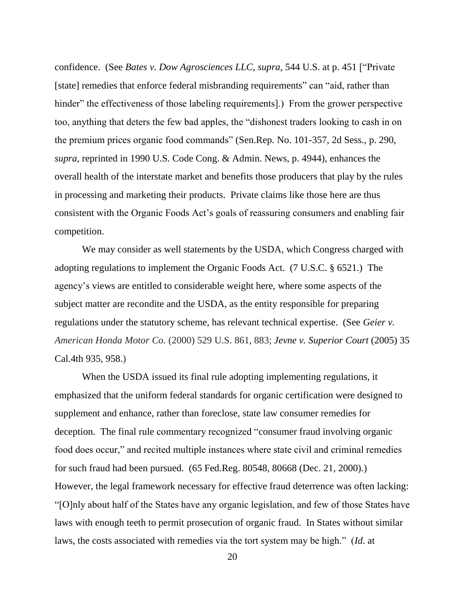confidence. (See *Bates v. Dow Agrosciences LLC*, *supra*, 544 U.S. at p. 451 ["Private"] [state] remedies that enforce federal misbranding requirements" can "aid, rather than hinder" the effectiveness of those labeling requirements].) From the grower perspective too, anything that deters the few bad apples, the "dishonest traders looking to cash in on the premium prices organic food commands" (Sen.Rep. No. 101-357, 2d Sess., p. 290, *supra*, reprinted in 1990 U.S. Code Cong. & Admin. News, p. 4944), enhances the overall health of the interstate market and benefits those producers that play by the rules in processing and marketing their products. Private claims like those here are thus consistent with the Organic Foods Act's goals of reassuring consumers and enabling fair competition.

We may consider as well statements by the USDA, which Congress charged with adopting regulations to implement the Organic Foods Act. (7 U.S.C. § 6521.) The agency's views are entitled to considerable weight here, where some aspects of the subject matter are recondite and the USDA, as the entity responsible for preparing regulations under the statutory scheme, has relevant technical expertise. (See *Geier v. American Honda Motor Co.* (2000) 529 U.S. 861, 883; *Jevne v. Superior Court* (2005) 35 Cal.4th 935, 958.)

When the USDA issued its final rule adopting implementing regulations, it emphasized that the uniform federal standards for organic certification were designed to supplement and enhance, rather than foreclose, state law consumer remedies for deception. The final rule commentary recognized "consumer fraud involving organic food does occur," and recited multiple instances where state civil and criminal remedies for such fraud had been pursued. (65 Fed.Reg. 80548, 80668 (Dec. 21, 2000).) However, the legal framework necessary for effective fraud deterrence was often lacking: ―[O]nly about half of the States have any organic legislation, and few of those States have laws with enough teeth to permit prosecution of organic fraud. In States without similar laws, the costs associated with remedies via the tort system may be high." (*Id.* at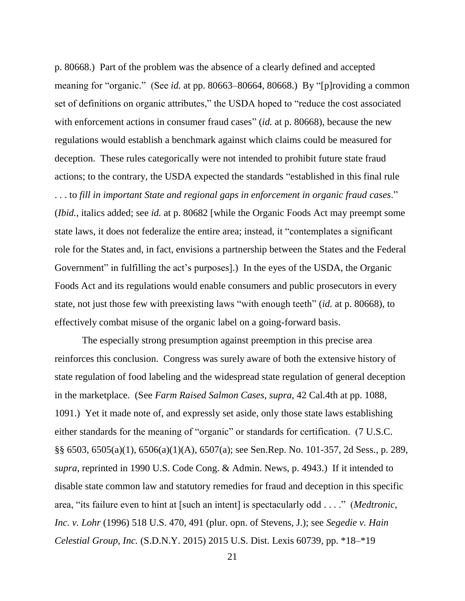p. 80668.) Part of the problem was the absence of a clearly defined and accepted meaning for "organic." (See *id.* at pp. 80663–80664, 80668.) By "[p]roviding a common set of definitions on organic attributes," the USDA hoped to "reduce the cost associated with enforcement actions in consumer fraud cases" *(id.* at p. 80668), because the new regulations would establish a benchmark against which claims could be measured for deception. These rules categorically were not intended to prohibit future state fraud actions; to the contrary, the USDA expected the standards "established in this final rule . . . to *fill in important State and regional gaps in enforcement in organic fraud cases*.‖ (*Ibid.*, italics added; see *id.* at p. 80682 [while the Organic Foods Act may preempt some state laws, it does not federalize the entire area; instead, it "contemplates a significant role for the States and, in fact, envisions a partnership between the States and the Federal Government" in fulfilling the act's purposes].) In the eyes of the USDA, the Organic Foods Act and its regulations would enable consumers and public prosecutors in every state, not just those few with preexisting laws "with enough teeth" (*id.* at p. 80668), to effectively combat misuse of the organic label on a going-forward basis.

The especially strong presumption against preemption in this precise area reinforces this conclusion. Congress was surely aware of both the extensive history of state regulation of food labeling and the widespread state regulation of general deception in the marketplace. (See *Farm Raised Salmon Cases*, *supra*, 42 Cal.4th at pp. 1088, 1091.) Yet it made note of, and expressly set aside, only those state laws establishing either standards for the meaning of "organic" or standards for certification. (7 U.S.C. §§ 6503, 6505(a)(1), 6506(a)(1)(A), 6507(a); see Sen.Rep. No. 101-357, 2d Sess., p. 289, *supra*, reprinted in 1990 U.S. Code Cong. & Admin. News, p. 4943.) If it intended to disable state common law and statutory remedies for fraud and deception in this specific area, "its failure even to hint at [such an intent] is spectacularly odd . . . ." (*Medtronic*, *Inc. v. Lohr* (1996) 518 U.S. 470, 491 (plur. opn. of Stevens, J.); see *Segedie v. Hain Celestial Group, Inc.* (S.D.N.Y. 2015) 2015 U.S. Dist. Lexis 60739, pp. \*18–\*19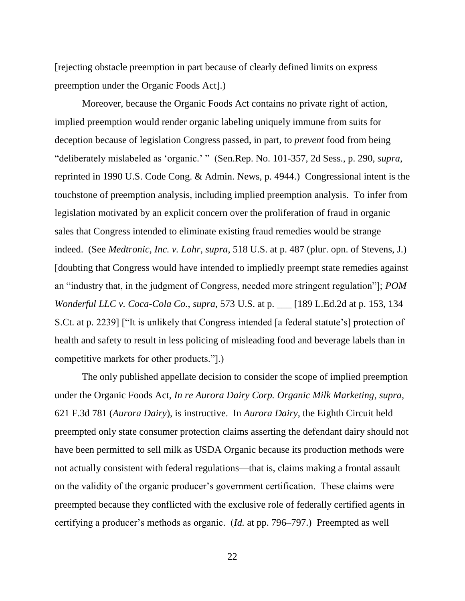[rejecting obstacle preemption in part because of clearly defined limits on express preemption under the Organic Foods Act].)

Moreover, because the Organic Foods Act contains no private right of action, implied preemption would render organic labeling uniquely immune from suits for deception because of legislation Congress passed, in part, to *prevent* food from being ―deliberately mislabeled as ‗organic.' ‖ (Sen.Rep. No. 101-357, 2d Sess., p. 290, *supra*, reprinted in 1990 U.S. Code Cong. & Admin. News, p. 4944.) Congressional intent is the touchstone of preemption analysis, including implied preemption analysis. To infer from legislation motivated by an explicit concern over the proliferation of fraud in organic sales that Congress intended to eliminate existing fraud remedies would be strange indeed. (See *Medtronic, Inc. v. Lohr*, *supra*, 518 U.S. at p. 487 (plur. opn. of Stevens, J.) [doubting that Congress would have intended to impliedly preempt state remedies against an "industry that, in the judgment of Congress, needed more stringent regulation"]; *POM Wonderful LLC v. Coca-Cola Co.*, *supra*, 573 U.S. at p. \_\_\_ [189 L.Ed.2d at p. 153, 134 S.Ct. at p. 2239] ["It is unlikely that Congress intended [a federal statute's] protection of health and safety to result in less policing of misleading food and beverage labels than in competitive markets for other products.‖].)

The only published appellate decision to consider the scope of implied preemption under the Organic Foods Act, *In re Aurora Dairy Corp. Organic Milk Marketing*, *supra*, 621 F.3d 781 (*Aurora Dairy*), is instructive. In *Aurora Dairy*, the Eighth Circuit held preempted only state consumer protection claims asserting the defendant dairy should not have been permitted to sell milk as USDA Organic because its production methods were not actually consistent with federal regulations—that is, claims making a frontal assault on the validity of the organic producer's government certification. These claims were preempted because they conflicted with the exclusive role of federally certified agents in certifying a producer's methods as organic. (*Id.* at pp. 796–797.) Preempted as well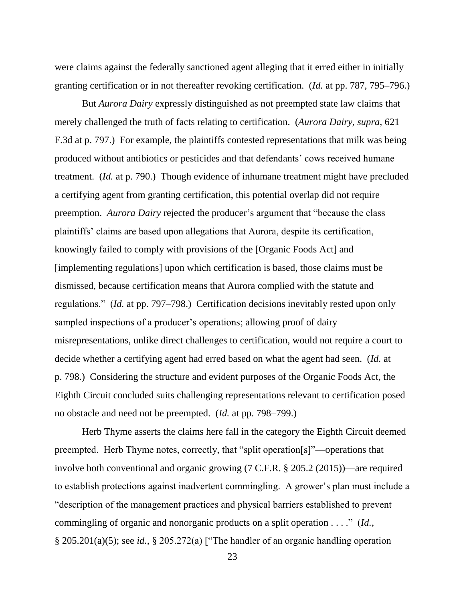were claims against the federally sanctioned agent alleging that it erred either in initially granting certification or in not thereafter revoking certification. (*Id.* at pp. 787, 795–796.)

But *Aurora Dairy* expressly distinguished as not preempted state law claims that merely challenged the truth of facts relating to certification. (*Aurora Dairy*, *supra*, 621 F.3d at p. 797.) For example, the plaintiffs contested representations that milk was being produced without antibiotics or pesticides and that defendants' cows received humane treatment. (*Id.* at p. 790.) Though evidence of inhumane treatment might have precluded a certifying agent from granting certification, this potential overlap did not require preemption. *Aurora Dairy* rejected the producer's argument that "because the class" plaintiffs' claims are based upon allegations that Aurora, despite its certification, knowingly failed to comply with provisions of the [Organic Foods Act] and [implementing regulations] upon which certification is based, those claims must be dismissed, because certification means that Aurora complied with the statute and regulations." *(Id.* at pp. 797–798.) Certification decisions inevitably rested upon only sampled inspections of a producer's operations; allowing proof of dairy misrepresentations, unlike direct challenges to certification, would not require a court to decide whether a certifying agent had erred based on what the agent had seen. (*Id.* at p. 798.) Considering the structure and evident purposes of the Organic Foods Act, the Eighth Circuit concluded suits challenging representations relevant to certification posed no obstacle and need not be preempted. (*Id.* at pp. 798–799.)

Herb Thyme asserts the claims here fall in the category the Eighth Circuit deemed preempted. Herb Thyme notes, correctly, that "split operation[s]"—operations that involve both conventional and organic growing (7 C.F.R. § 205.2 (2015))—are required to establish protections against inadvertent commingling. A grower's plan must include a ―description of the management practices and physical barriers established to prevent commingling of organic and nonorganic products on a split operation . . . ." (*Id.*,  $\S 205.201(a)(5)$ ; see *id.*,  $\S 205.272(a)$  ["The handler of an organic handling operation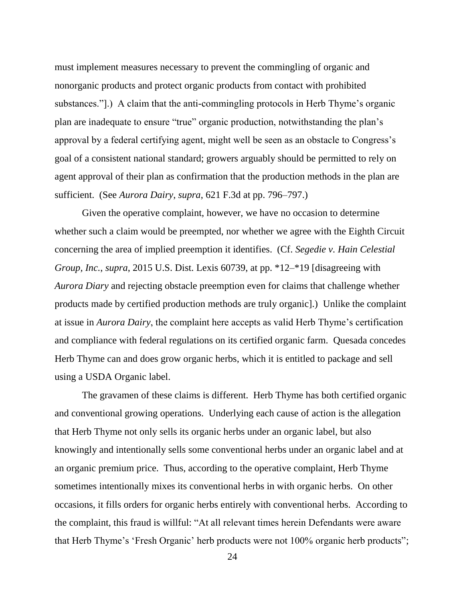must implement measures necessary to prevent the commingling of organic and nonorganic products and protect organic products from contact with prohibited substances."]. A claim that the anti-commingling protocols in Herb Thyme's organic plan are inadequate to ensure "true" organic production, notwithstanding the plan's approval by a federal certifying agent, might well be seen as an obstacle to Congress's goal of a consistent national standard; growers arguably should be permitted to rely on agent approval of their plan as confirmation that the production methods in the plan are sufficient. (See *Aurora Dairy*, *supra*, 621 F.3d at pp. 796–797.)

Given the operative complaint, however, we have no occasion to determine whether such a claim would be preempted, nor whether we agree with the Eighth Circuit concerning the area of implied preemption it identifies. (Cf. *Segedie v. Hain Celestial Group, Inc.*, *supra*, 2015 U.S. Dist. Lexis 60739, at pp. \*12–\*19 [disagreeing with *Aurora Diary* and rejecting obstacle preemption even for claims that challenge whether products made by certified production methods are truly organic].) Unlike the complaint at issue in *Aurora Dairy*, the complaint here accepts as valid Herb Thyme's certification and compliance with federal regulations on its certified organic farm. Quesada concedes Herb Thyme can and does grow organic herbs, which it is entitled to package and sell using a USDA Organic label.

The gravamen of these claims is different. Herb Thyme has both certified organic and conventional growing operations. Underlying each cause of action is the allegation that Herb Thyme not only sells its organic herbs under an organic label, but also knowingly and intentionally sells some conventional herbs under an organic label and at an organic premium price. Thus, according to the operative complaint, Herb Thyme sometimes intentionally mixes its conventional herbs in with organic herbs. On other occasions, it fills orders for organic herbs entirely with conventional herbs. According to the complaint, this fraud is willful: "At all relevant times herein Defendants were aware that Herb Thyme's 'Fresh Organic' herb products were not 100% organic herb products";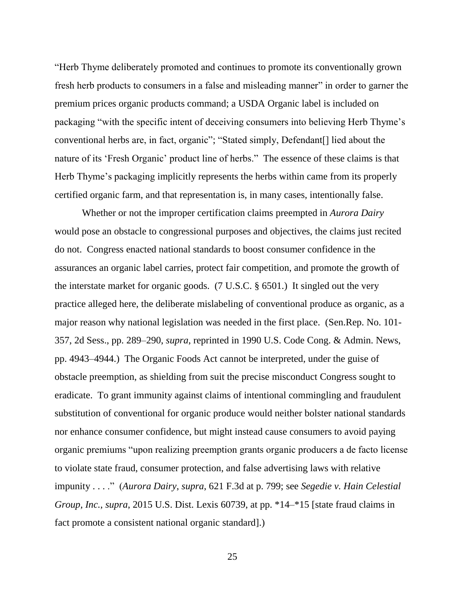―Herb Thyme deliberately promoted and continues to promote its conventionally grown fresh herb products to consumers in a false and misleading manner" in order to garner the premium prices organic products command; a USDA Organic label is included on packaging "with the specific intent of deceiving consumers into believing Herb Thyme's conventional herbs are, in fact, organic"; "Stated simply, Defendant<sup>[]</sup> lied about the nature of its 'Fresh Organic' product line of herbs." The essence of these claims is that Herb Thyme's packaging implicitly represents the herbs within came from its properly certified organic farm, and that representation is, in many cases, intentionally false.

Whether or not the improper certification claims preempted in *Aurora Dairy* would pose an obstacle to congressional purposes and objectives, the claims just recited do not. Congress enacted national standards to boost consumer confidence in the assurances an organic label carries, protect fair competition, and promote the growth of the interstate market for organic goods. (7 U.S.C. § 6501.) It singled out the very practice alleged here, the deliberate mislabeling of conventional produce as organic, as a major reason why national legislation was needed in the first place. (Sen.Rep. No. 101- 357, 2d Sess., pp. 289–290, *supra*, reprinted in 1990 U.S. Code Cong. & Admin. News, pp. 4943–4944.) The Organic Foods Act cannot be interpreted, under the guise of obstacle preemption, as shielding from suit the precise misconduct Congress sought to eradicate. To grant immunity against claims of intentional commingling and fraudulent substitution of conventional for organic produce would neither bolster national standards nor enhance consumer confidence, but might instead cause consumers to avoid paying organic premiums "upon realizing preemption grants organic producers a de facto license to violate state fraud, consumer protection, and false advertising laws with relative impunity . . . ." (*Aurora Dairy*, *supra*, 621 F.3d at p. 799; see *Segedie v. Hain Celestial Group, Inc.*, *supra*, 2015 U.S. Dist. Lexis 60739, at pp. \*14–\*15 [state fraud claims in fact promote a consistent national organic standard].)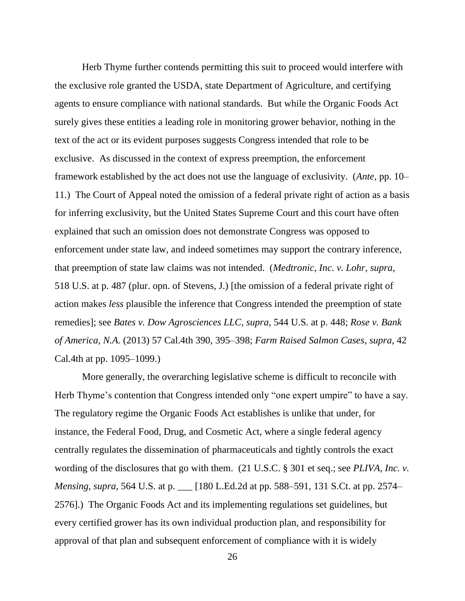Herb Thyme further contends permitting this suit to proceed would interfere with the exclusive role granted the USDA, state Department of Agriculture, and certifying agents to ensure compliance with national standards. But while the Organic Foods Act surely gives these entities a leading role in monitoring grower behavior, nothing in the text of the act or its evident purposes suggests Congress intended that role to be exclusive. As discussed in the context of express preemption, the enforcement framework established by the act does not use the language of exclusivity. (*Ante*, pp. 10– 11.) The Court of Appeal noted the omission of a federal private right of action as a basis for inferring exclusivity, but the United States Supreme Court and this court have often explained that such an omission does not demonstrate Congress was opposed to enforcement under state law, and indeed sometimes may support the contrary inference, that preemption of state law claims was not intended. (*Medtronic, Inc. v. Lohr*, *supra*, 518 U.S. at p. 487 (plur. opn. of Stevens, J.) [the omission of a federal private right of action makes *less* plausible the inference that Congress intended the preemption of state remedies]; see *Bates v. Dow Agrosciences LLC*, *supra*, 544 U.S. at p. 448; *Rose v. Bank of America, N.A.* (2013) 57 Cal.4th 390, 395–398; *Farm Raised Salmon Cases*, *supra*, 42 Cal.4th at pp. 1095–1099.)

More generally, the overarching legislative scheme is difficult to reconcile with Herb Thyme's contention that Congress intended only "one expert umpire" to have a say. The regulatory regime the Organic Foods Act establishes is unlike that under, for instance, the Federal Food, Drug, and Cosmetic Act, where a single federal agency centrally regulates the dissemination of pharmaceuticals and tightly controls the exact wording of the disclosures that go with them. (21 U.S.C. § 301 et seq.; see *PLIVA, Inc. v. Mensing*, *supra*, 564 U.S. at p. \_\_\_ [180 L.Ed.2d at pp. 588–591, 131 S.Ct. at pp. 2574– 2576].) The Organic Foods Act and its implementing regulations set guidelines, but every certified grower has its own individual production plan, and responsibility for approval of that plan and subsequent enforcement of compliance with it is widely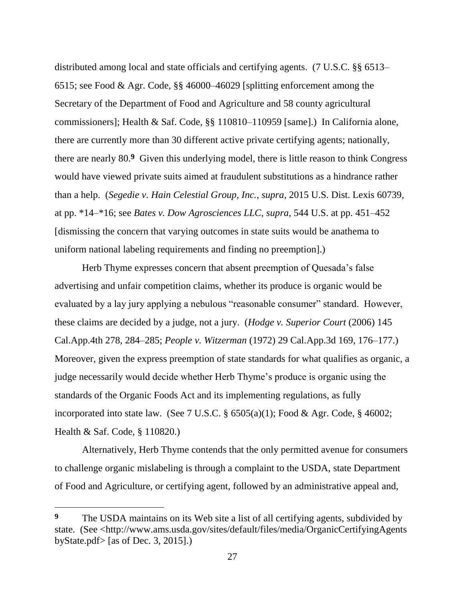distributed among local and state officials and certifying agents. (7 U.S.C. §§ 6513– 6515; see Food & Agr. Code, §§ 46000–46029 [splitting enforcement among the Secretary of the Department of Food and Agriculture and 58 county agricultural commissioners]; Health & Saf. Code, §§ 110810–110959 [same].) In California alone, there are currently more than 30 different active private certifying agents; nationally, there are nearly 80.**9** Given this underlying model, there is little reason to think Congress would have viewed private suits aimed at fraudulent substitutions as a hindrance rather than a help. (*Segedie v. Hain Celestial Group, Inc.*, *supra*, 2015 U.S. Dist. Lexis 60739, at pp. \*14–\*16; see *Bates v. Dow Agrosciences LLC*, *supra*, 544 U.S. at pp. 451–452 [dismissing the concern that varying outcomes in state suits would be anathema to uniform national labeling requirements and finding no preemption].)

Herb Thyme expresses concern that absent preemption of Quesada's false advertising and unfair competition claims, whether its produce is organic would be evaluated by a lay jury applying a nebulous "reasonable consumer" standard. However, these claims are decided by a judge, not a jury. (*Hodge v. Superior Court* (2006) 145 Cal.App.4th 278, 284–285; *People v. Witzerman* (1972) 29 Cal.App.3d 169, 176–177.) Moreover, given the express preemption of state standards for what qualifies as organic, a judge necessarily would decide whether Herb Thyme's produce is organic using the standards of the Organic Foods Act and its implementing regulations, as fully incorporated into state law. (See 7 U.S.C. § 6505(a)(1); Food & Agr. Code, § 46002; Health & Saf. Code, § 110820.)

Alternatively, Herb Thyme contends that the only permitted avenue for consumers to challenge organic mislabeling is through a complaint to the USDA, state Department of Food and Agriculture, or certifying agent, followed by an administrative appeal and,

**<sup>9</sup>** The USDA maintains on its Web site a list of all certifying agents, subdivided by state. (See <http://www.ams.usda.gov/sites/default/files/media/OrganicCertifyingAgents byState.pdf> [as of Dec. 3, 2015].)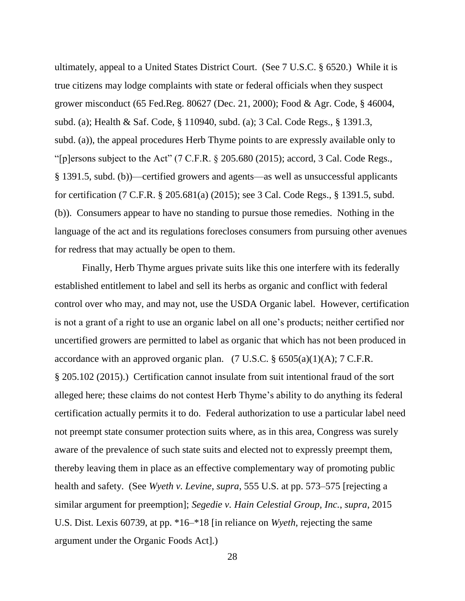ultimately, appeal to a United States District Court. (See 7 U.S.C. § 6520.) While it is true citizens may lodge complaints with state or federal officials when they suspect grower misconduct (65 Fed.Reg. 80627 (Dec. 21, 2000); Food & Agr. Code, § 46004, subd. (a); Health & Saf. Code, § 110940, subd. (a); 3 Cal. Code Regs., § 1391.3, subd. (a)), the appeal procedures Herb Thyme points to are expressly available only to "[p]ersons subject to the Act" (7 C.F.R.  $\S$  205.680 (2015); accord, 3 Cal. Code Regs., § 1391.5, subd. (b))—certified growers and agents—as well as unsuccessful applicants for certification (7 C.F.R. § 205.681(a) (2015); see 3 Cal. Code Regs., § 1391.5, subd. (b)). Consumers appear to have no standing to pursue those remedies. Nothing in the language of the act and its regulations forecloses consumers from pursuing other avenues for redress that may actually be open to them.

Finally, Herb Thyme argues private suits like this one interfere with its federally established entitlement to label and sell its herbs as organic and conflict with federal control over who may, and may not, use the USDA Organic label. However, certification is not a grant of a right to use an organic label on all one's products; neither certified nor uncertified growers are permitted to label as organic that which has not been produced in accordance with an approved organic plan. (7 U.S.C.  $\S$  6505(a)(1)(A); 7 C.F.R. § 205.102 (2015).) Certification cannot insulate from suit intentional fraud of the sort alleged here; these claims do not contest Herb Thyme's ability to do anything its federal certification actually permits it to do. Federal authorization to use a particular label need not preempt state consumer protection suits where, as in this area, Congress was surely aware of the prevalence of such state suits and elected not to expressly preempt them, thereby leaving them in place as an effective complementary way of promoting public health and safety. (See *Wyeth v. Levine*, *supra*, 555 U.S. at pp. 573–575 [rejecting a similar argument for preemption]; *Segedie v. Hain Celestial Group, Inc.*, *supra*, 2015 U.S. Dist. Lexis 60739, at pp. \*16–\*18 [in reliance on *Wyeth*, rejecting the same argument under the Organic Foods Act].)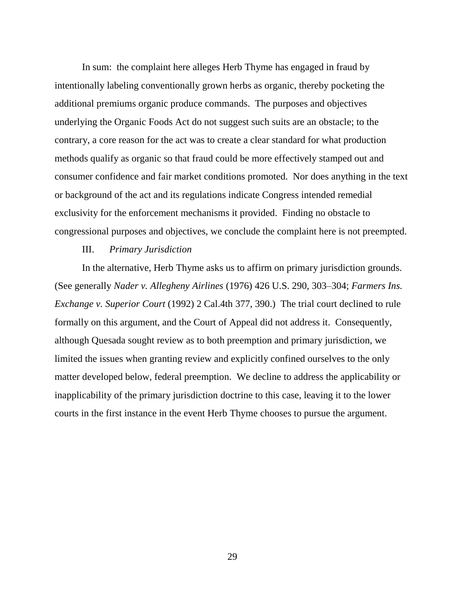In sum: the complaint here alleges Herb Thyme has engaged in fraud by intentionally labeling conventionally grown herbs as organic, thereby pocketing the additional premiums organic produce commands. The purposes and objectives underlying the Organic Foods Act do not suggest such suits are an obstacle; to the contrary, a core reason for the act was to create a clear standard for what production methods qualify as organic so that fraud could be more effectively stamped out and consumer confidence and fair market conditions promoted. Nor does anything in the text or background of the act and its regulations indicate Congress intended remedial exclusivity for the enforcement mechanisms it provided. Finding no obstacle to congressional purposes and objectives, we conclude the complaint here is not preempted.

## III. *Primary Jurisdiction*

In the alternative, Herb Thyme asks us to affirm on primary jurisdiction grounds. (See generally *Nader v. Allegheny Airlines* (1976) 426 U.S. 290, 303–304; *Farmers Ins. Exchange v. Superior Court* (1992) 2 Cal.4th 377, 390.) The trial court declined to rule formally on this argument, and the Court of Appeal did not address it. Consequently, although Quesada sought review as to both preemption and primary jurisdiction, we limited the issues when granting review and explicitly confined ourselves to the only matter developed below, federal preemption. We decline to address the applicability or inapplicability of the primary jurisdiction doctrine to this case, leaving it to the lower courts in the first instance in the event Herb Thyme chooses to pursue the argument.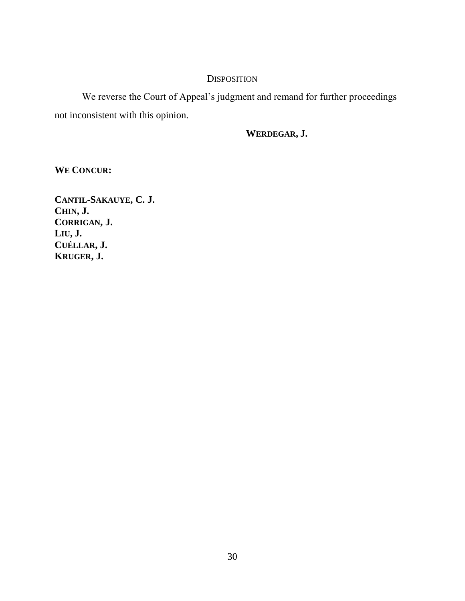## **DISPOSITION**

We reverse the Court of Appeal's judgment and remand for further proceedings not inconsistent with this opinion.

## **WERDEGAR, J.**

**WE CONCUR:**

**CANTIL-SAKAUYE, C. J. CHIN, J. CORRIGAN, J. LIU, J. CUÉLLAR, J. KRUGER, J.**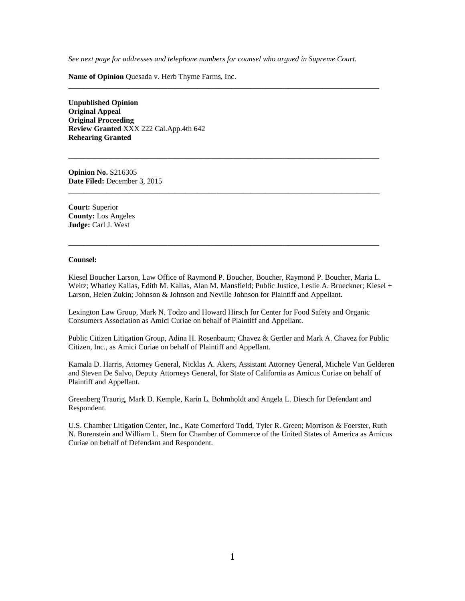*See next page for addresses and telephone numbers for counsel who argued in Supreme Court.*

**\_\_\_\_\_\_\_\_\_\_\_\_\_\_\_\_\_\_\_\_\_\_\_\_\_\_\_\_\_\_\_\_\_\_\_\_\_\_\_\_\_\_\_\_\_\_\_\_\_\_\_\_\_\_\_\_\_\_\_\_\_\_\_\_\_\_\_\_\_\_\_\_\_\_\_\_\_\_\_\_\_\_**

**\_\_\_\_\_\_\_\_\_\_\_\_\_\_\_\_\_\_\_\_\_\_\_\_\_\_\_\_\_\_\_\_\_\_\_\_\_\_\_\_\_\_\_\_\_\_\_\_\_\_\_\_\_\_\_\_\_\_\_\_\_\_\_\_\_\_\_\_\_\_\_\_\_\_\_\_\_\_\_\_\_\_**

**\_\_\_\_\_\_\_\_\_\_\_\_\_\_\_\_\_\_\_\_\_\_\_\_\_\_\_\_\_\_\_\_\_\_\_\_\_\_\_\_\_\_\_\_\_\_\_\_\_\_\_\_\_\_\_\_\_\_\_\_\_\_\_\_\_\_\_\_\_\_\_\_\_\_\_\_\_\_\_\_\_\_**

**\_\_\_\_\_\_\_\_\_\_\_\_\_\_\_\_\_\_\_\_\_\_\_\_\_\_\_\_\_\_\_\_\_\_\_\_\_\_\_\_\_\_\_\_\_\_\_\_\_\_\_\_\_\_\_\_\_\_\_\_\_\_\_\_\_\_\_\_\_\_\_\_\_\_\_\_\_\_\_\_\_\_**

**Name of Opinion** Quesada v. Herb Thyme Farms, Inc.

**Unpublished Opinion Original Appeal Original Proceeding Review Granted** XXX 222 Cal.App.4th 642 **Rehearing Granted**

**Opinion No.** S216305 **Date Filed:** December 3, 2015

**Court:** Superior **County:** Los Angeles **Judge:** Carl J. West

#### **Counsel:**

Kiesel Boucher Larson, Law Office of Raymond P. Boucher, Boucher, Raymond P. Boucher, Maria L. Weitz; Whatley Kallas, Edith M. Kallas, Alan M. Mansfield; Public Justice, Leslie A. Brueckner; Kiesel + Larson, Helen Zukin; Johnson & Johnson and Neville Johnson for Plaintiff and Appellant.

Lexington Law Group, Mark N. Todzo and Howard Hirsch for Center for Food Safety and Organic Consumers Association as Amici Curiae on behalf of Plaintiff and Appellant.

Public Citizen Litigation Group, Adina H. Rosenbaum; Chavez & Gertler and Mark A. Chavez for Public Citizen, Inc., as Amici Curiae on behalf of Plaintiff and Appellant.

Kamala D. Harris, Attorney General, Nicklas A. Akers, Assistant Attorney General, Michele Van Gelderen and Steven De Salvo, Deputy Attorneys General, for State of California as Amicus Curiae on behalf of Plaintiff and Appellant.

Greenberg Traurig, Mark D. Kemple, Karin L. Bohmholdt and Angela L. Diesch for Defendant and Respondent.

U.S. Chamber Litigation Center, Inc., Kate Comerford Todd, Tyler R. Green; Morrison & Foerster, Ruth N. Borenstein and William L. Stern for Chamber of Commerce of the United States of America as Amicus Curiae on behalf of Defendant and Respondent.